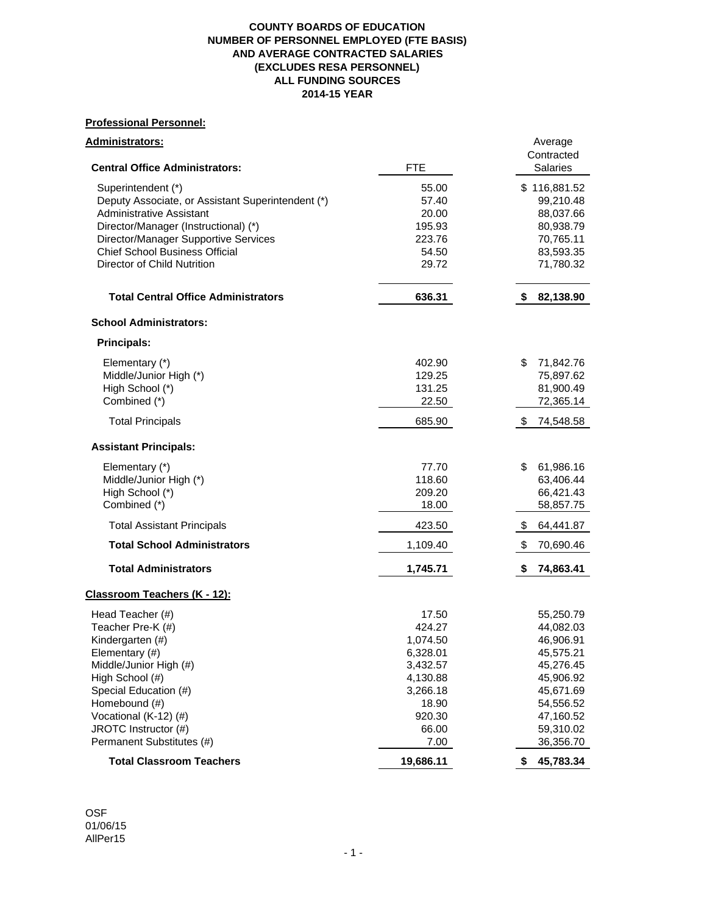### **COUNTY BOARDS OF EDUCATION NUMBER OF PERSONNEL EMPLOYED (FTE BASIS) AND AVERAGE CONTRACTED SALARIES (EXCLUDES RESA PERSONNEL) ALL FUNDING SOURCES 2014-15 YEAR**

# **Professional Personnel:**

| <u> Administrators:</u>                                                                                                                                                                                                                          |                                                                                                                 | Average<br>Contracted                                                                                                                       |
|--------------------------------------------------------------------------------------------------------------------------------------------------------------------------------------------------------------------------------------------------|-----------------------------------------------------------------------------------------------------------------|---------------------------------------------------------------------------------------------------------------------------------------------|
| <b>Central Office Administrators:</b>                                                                                                                                                                                                            | <b>FTE</b>                                                                                                      | <b>Salaries</b>                                                                                                                             |
| Superintendent (*)<br>Deputy Associate, or Assistant Superintendent (*)<br><b>Administrative Assistant</b><br>Director/Manager (Instructional) (*)<br>Director/Manager Supportive Services                                                       | 55.00<br>57.40<br>20.00<br>195.93<br>223.76                                                                     | \$116,881.52<br>99,210.48<br>88,037.66<br>80,938.79<br>70,765.11                                                                            |
| <b>Chief School Business Official</b><br>Director of Child Nutrition                                                                                                                                                                             | 54.50<br>29.72                                                                                                  | 83,593.35<br>71,780.32                                                                                                                      |
| <b>Total Central Office Administrators</b>                                                                                                                                                                                                       | 636.31                                                                                                          | 82,138.90<br>S                                                                                                                              |
| <b>School Administrators:</b>                                                                                                                                                                                                                    |                                                                                                                 |                                                                                                                                             |
| <b>Principals:</b>                                                                                                                                                                                                                               |                                                                                                                 |                                                                                                                                             |
| Elementary (*)<br>Middle/Junior High (*)<br>High School (*)<br>Combined (*)                                                                                                                                                                      | 402.90<br>129.25<br>131.25<br>22.50                                                                             | \$<br>71,842.76<br>75,897.62<br>81,900.49<br>72,365.14                                                                                      |
| <b>Total Principals</b>                                                                                                                                                                                                                          | 685.90                                                                                                          | S<br>74,548.58                                                                                                                              |
| <b>Assistant Principals:</b>                                                                                                                                                                                                                     |                                                                                                                 |                                                                                                                                             |
| Elementary (*)<br>Middle/Junior High (*)<br>High School (*)<br>Combined (*)                                                                                                                                                                      | 77.70<br>118.60<br>209.20<br>18.00                                                                              | \$<br>61,986.16<br>63,406.44<br>66,421.43<br>58,857.75                                                                                      |
| <b>Total Assistant Principals</b>                                                                                                                                                                                                                | 423.50                                                                                                          | \$<br>64,441.87                                                                                                                             |
| <b>Total School Administrators</b>                                                                                                                                                                                                               | 1,109.40                                                                                                        | \$<br>70,690.46                                                                                                                             |
| <b>Total Administrators</b>                                                                                                                                                                                                                      | 1,745.71                                                                                                        | \$<br>74,863.41                                                                                                                             |
| Classroom Teachers (K - 12):                                                                                                                                                                                                                     |                                                                                                                 |                                                                                                                                             |
| Head Teacher (#)<br>Teacher Pre-K (#)<br>Kindergarten (#)<br>Elementary (#)<br>Middle/Junior High (#)<br>High School (#)<br>Special Education (#)<br>Homebound (#)<br>Vocational (K-12) (#)<br>JROTC Instructor (#)<br>Permanent Substitutes (#) | 17.50<br>424.27<br>1,074.50<br>6,328.01<br>3,432.57<br>4,130.88<br>3,266.18<br>18.90<br>920.30<br>66.00<br>7.00 | 55,250.79<br>44,082.03<br>46,906.91<br>45,575.21<br>45,276.45<br>45,906.92<br>45,671.69<br>54,556.52<br>47,160.52<br>59,310.02<br>36,356.70 |
| <b>Total Classroom Teachers</b>                                                                                                                                                                                                                  | 19,686.11                                                                                                       | \$<br>45,783.34                                                                                                                             |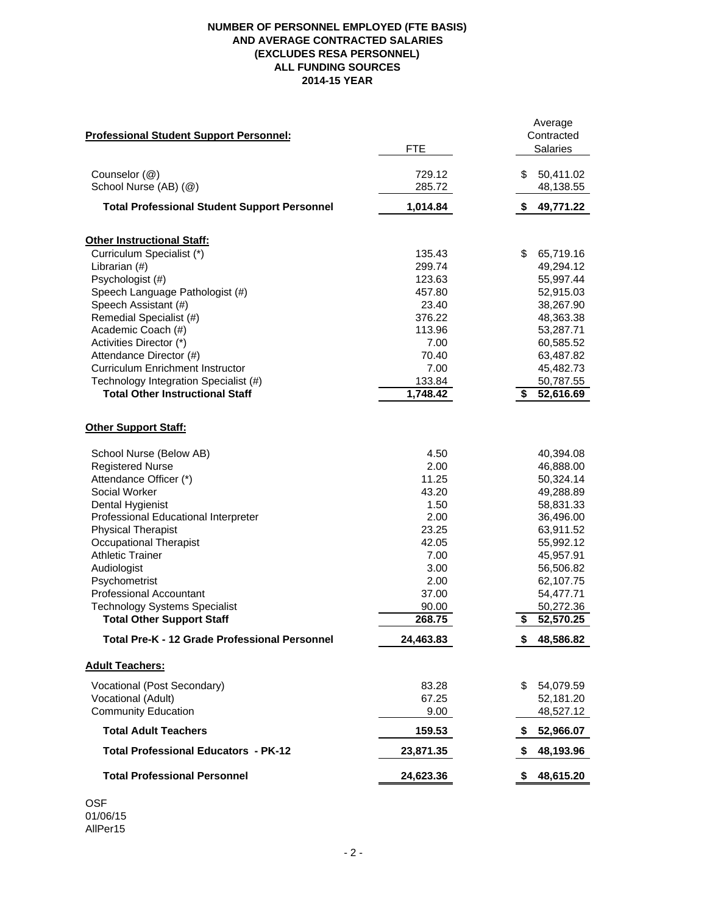## **NUMBER OF PERSONNEL EMPLOYED (FTE BASIS) AND AVERAGE CONTRACTED SALARIES (EXCLUDES RESA PERSONNEL) ALL FUNDING SOURCES 2014-15 YEAR**

|                                                     |            | Average         |
|-----------------------------------------------------|------------|-----------------|
| <b>Professional Student Support Personnel:</b>      |            | Contracted      |
|                                                     | <b>FTE</b> | <b>Salaries</b> |
|                                                     |            |                 |
| Counselor (@)                                       | 729.12     | \$<br>50,411.02 |
| School Nurse (AB) (@)                               | 285.72     | 48,138.55       |
| <b>Total Professional Student Support Personnel</b> | 1,014.84   | \$<br>49,771.22 |
| <b>Other Instructional Staff:</b>                   |            |                 |
| Curriculum Specialist (*)                           | 135.43     | \$<br>65,719.16 |
| Librarian (#)                                       | 299.74     | 49,294.12       |
| Psychologist (#)                                    | 123.63     | 55,997.44       |
| Speech Language Pathologist (#)                     | 457.80     | 52,915.03       |
| Speech Assistant (#)                                | 23.40      | 38,267.90       |
| Remedial Specialist (#)                             | 376.22     | 48,363.38       |
| Academic Coach (#)                                  | 113.96     | 53,287.71       |
| Activities Director (*)                             | 7.00       | 60,585.52       |
| Attendance Director (#)                             | 70.40      | 63,487.82       |
| <b>Curriculum Enrichment Instructor</b>             | 7.00       | 45,482.73       |
| Technology Integration Specialist (#)               | 133.84     | 50,787.55       |
| <b>Total Other Instructional Staff</b>              | 1,748.42   | \$<br>52,616.69 |
|                                                     |            |                 |
| <b>Other Support Staff:</b>                         |            |                 |
| School Nurse (Below AB)                             | 4.50       | 40,394.08       |
| <b>Registered Nurse</b>                             | 2.00       | 46,888.00       |
| Attendance Officer (*)                              | 11.25      | 50,324.14       |
| Social Worker                                       | 43.20      | 49,288.89       |
| Dental Hygienist                                    | 1.50       | 58,831.33       |
| Professional Educational Interpreter                | 2.00       | 36,496.00       |
| <b>Physical Therapist</b>                           | 23.25      | 63,911.52       |
| <b>Occupational Therapist</b>                       | 42.05      | 55,992.12       |
| <b>Athletic Trainer</b>                             | 7.00       | 45,957.91       |
| Audiologist                                         | 3.00       | 56,506.82       |
| Psychometrist                                       | 2.00       | 62,107.75       |
| <b>Professional Accountant</b>                      | 37.00      | 54,477.71       |
| <b>Technology Systems Specialist</b>                | 90.00      | 50,272.36       |
| <b>Total Other Support Staff</b>                    | 268.75     | 52,570.25<br>\$ |
| Total Pre-K - 12 Grade Professional Personnel       | 24,463.83  | \$<br>48,586.82 |
| <b>Adult Teachers:</b>                              |            |                 |
|                                                     |            |                 |
| Vocational (Post Secondary)                         | 83.28      | \$<br>54,079.59 |
| Vocational (Adult)                                  | 67.25      | 52,181.20       |
| <b>Community Education</b>                          | 9.00       | 48,527.12       |
| <b>Total Adult Teachers</b>                         | 159.53     | 52,966.07<br>S  |
| <b>Total Professional Educators - PK-12</b>         | 23,871.35  | 48,193.96<br>S. |
| <b>Total Professional Personnel</b>                 | 24,623.36  | \$<br>48,615.20 |

OSF 01/06/15 AllPer15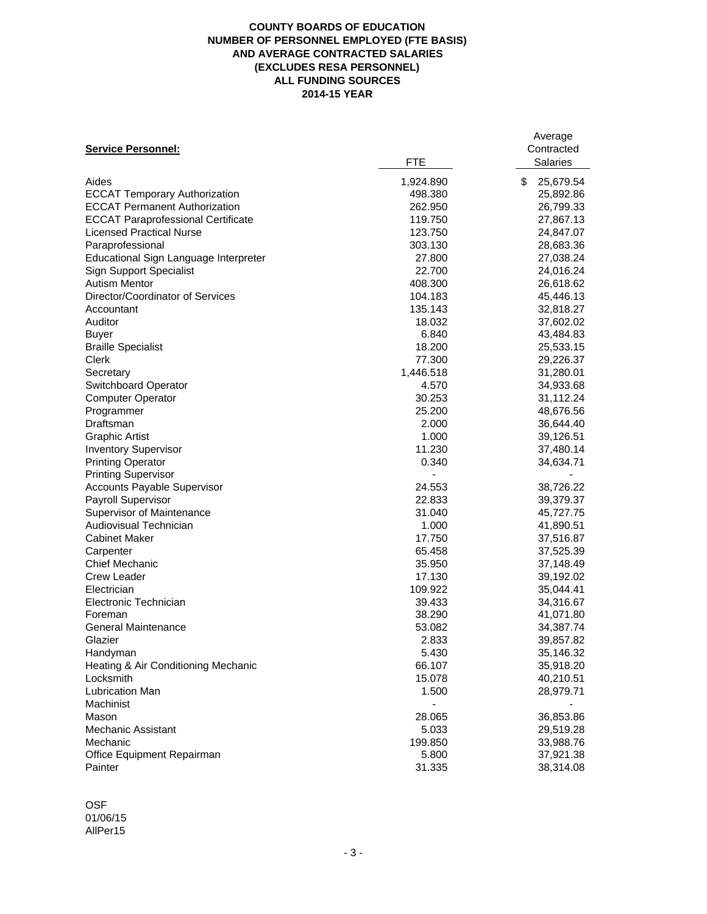### **COUNTY BOARDS OF EDUCATION NUMBER OF PERSONNEL EMPLOYED (FTE BASIS) AND AVERAGE CONTRACTED SALARIES (EXCLUDES RESA PERSONNEL) ALL FUNDING SOURCES 2014-15 YEAR**

|                                           |            | Average         |
|-------------------------------------------|------------|-----------------|
| <b>Service Personnel:</b>                 |            | Contracted      |
|                                           | <b>FTE</b> | <b>Salaries</b> |
| Aides                                     | 1,924.890  | \$<br>25,679.54 |
| <b>ECCAT Temporary Authorization</b>      | 498.380    | 25,892.86       |
| <b>ECCAT Permanent Authorization</b>      | 262.950    | 26,799.33       |
| <b>ECCAT Paraprofessional Certificate</b> | 119.750    | 27,867.13       |
| <b>Licensed Practical Nurse</b>           | 123.750    | 24,847.07       |
| Paraprofessional                          | 303.130    | 28,683.36       |
| Educational Sign Language Interpreter     | 27.800     | 27,038.24       |
| <b>Sign Support Specialist</b>            | 22.700     | 24,016.24       |
| <b>Autism Mentor</b>                      | 408.300    | 26,618.62       |
| Director/Coordinator of Services          | 104.183    | 45,446.13       |
| Accountant                                | 135.143    | 32,818.27       |
| Auditor                                   | 18.032     | 37,602.02       |
|                                           | 6.840      | 43,484.83       |
| <b>Buyer</b>                              |            |                 |
| <b>Braille Specialist</b>                 | 18.200     | 25,533.15       |
| Clerk                                     | 77.300     | 29,226.37       |
| Secretary                                 | 1,446.518  | 31,280.01       |
| Switchboard Operator                      | 4.570      | 34,933.68       |
| <b>Computer Operator</b>                  | 30.253     | 31,112.24       |
| Programmer                                | 25.200     | 48,676.56       |
| Draftsman                                 | 2.000      | 36,644.40       |
| <b>Graphic Artist</b>                     | 1.000      | 39,126.51       |
| <b>Inventory Supervisor</b>               | 11.230     | 37,480.14       |
| <b>Printing Operator</b>                  | 0.340      | 34,634.71       |
| <b>Printing Supervisor</b>                |            |                 |
| Accounts Payable Supervisor               | 24.553     | 38,726.22       |
| Payroll Supervisor                        | 22.833     | 39,379.37       |
| Supervisor of Maintenance                 | 31.040     | 45,727.75       |
| Audiovisual Technician                    | 1.000      | 41,890.51       |
| <b>Cabinet Maker</b>                      | 17.750     | 37,516.87       |
| Carpenter                                 | 65.458     | 37,525.39       |
| <b>Chief Mechanic</b>                     | 35.950     | 37,148.49       |
| <b>Crew Leader</b>                        | 17.130     | 39,192.02       |
| Electrician                               | 109.922    | 35,044.41       |
| Electronic Technician                     | 39.433     | 34,316.67       |
| Foreman                                   | 38.290     | 41,071.80       |
| <b>General Maintenance</b>                | 53.082     | 34,387.74       |
| Glazier                                   | 2.833      | 39,857.82       |
| Handyman                                  | 5.430      | 35,146.32       |
| Heating & Air Conditioning Mechanic       | 66.107     | 35,918.20       |
| Locksmith                                 | 15.078     | 40,210.51       |
| Lubrication Man                           | 1.500      | 28,979.71       |
| Machinist                                 |            |                 |
| Mason                                     | 28.065     | 36,853.86       |
| <b>Mechanic Assistant</b>                 | 5.033      | 29,519.28       |
| Mechanic                                  | 199.850    | 33,988.76       |
| Office Equipment Repairman                | 5.800      | 37,921.38       |
| Painter                                   | 31.335     | 38,314.08       |
|                                           |            |                 |

OSF 01/06/15 AllPer15